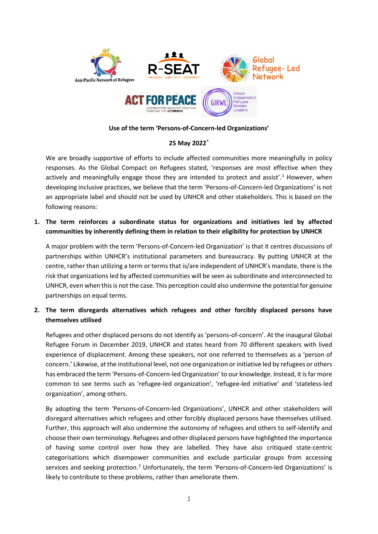

### **Use of the term 'Persons-of-Concern-led Organizations'**

## **25 May 202[2\\*](#page-2-0)**

We are broadly supportive of efforts to include affected communities more meaningfully in policy responses. As the Global Compact on Refugees stated, 'responses are most effective when they actively and meaningfully engage those they are intended to protect and assist'.<sup>[1](#page-2-1)</sup> However, when developing inclusive practices, we believe that the term 'Persons-of-Concern-led Organizations' is not an appropriate label and should not be used by UNHCR and other stakeholders. This is based on the following reasons:

**1. The term reinforces a subordinate status for organizations and initiatives led by affected communities by inherently defining them in relation to their eligibility for protection by UNHCR**

A major problem with the term 'Persons-of-Concern-led Organization' is that it centres discussions of partnerships within UNHCR's institutional parameters and bureaucracy. By putting UNHCR at the centre, rather than utilizing a term or terms that is/are independent of UNHCR's mandate, there is the risk that organizations led by affected communities will be seen as subordinate and interconnected to UNHCR, even when this is not the case. This perception could also undermine the potential for genuine partnerships on equal terms.

# **2. The term disregards alternatives which refugees and other forcibly displaced persons have themselves utilised**

Refugees and other displaced persons do not identify as 'persons-of-concern'. At the inaugural Global Refugee Forum in December 2019, UNHCR and states heard from 70 different speakers with lived experience of displacement. Among these speakers, not one referred to themselves as a 'person of concern.' Likewise, at the institutional level, not one organization or initiative led by refugees or others has embraced the term 'Persons-of-Concern-led Organization' to our knowledge. Instead, it is far more common to see terms such as 'refugee-led organization', 'refugee-led initiative' and 'stateless-led organization', among others.

By adopting the term 'Persons-of-Concern-led Organizations', UNHCR and other stakeholders will disregard alternatives which refugees and other forcibly displaced persons have themselves utilised. Further, this approach will also undermine the autonomy of refugees and others to self-identify and choose their own terminology. Refugees and other displaced persons have highlighted the importance of having some control over how they are labelled. They have also critiqued state-centric categorisations which disempower communities and exclude particular groups from accessing services and seeking protection.<sup>[2](#page-2-2)</sup> Unfortunately, the term 'Persons-of-Concern-led Organizations' is likely to contribute to these problems, rather than ameliorate them.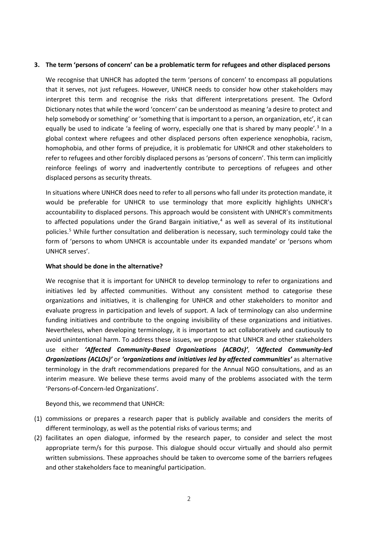### **3. The term 'persons of concern' can be a problematic term for refugees and other displaced persons**

We recognise that UNHCR has adopted the term 'persons of concern' to encompass all populations that it serves, not just refugees. However, UNHCR needs to consider how other stakeholders may interpret this term and recognise the risks that different interpretations present. The Oxford Dictionary notes that while the word 'concern' can be understood as meaning 'a desire to protect and help somebody or something' or 'something that is important to a person, an organization, etc', it can equally be used to indicate 'a feeling of worry, especially one that is shared by many people'.<sup>[3](#page-2-3)</sup> In a global context where refugees and other displaced persons often experience xenophobia, racism, homophobia, and other forms of prejudice, it is problematic for UNHCR and other stakeholders to refer to refugees and other forcibly displaced persons as 'persons of concern'. This term can implicitly reinforce feelings of worry and inadvertently contribute to perceptions of refugees and other displaced persons as security threats.

In situations where UNHCR does need to refer to all persons who fall under its protection mandate, it would be preferable for UNHCR to use terminology that more explicitly highlights UNHCR's accountability to displaced persons. This approach would be consistent with UNHCR's commitments to affected populations under the Grand Bargain initiative, $4$  as well as several of its institutional policies.[5](#page-2-5) While further consultation and deliberation is necessary, such terminology could take the form of 'persons to whom UNHCR is accountable under its expanded mandate' or 'persons whom UNHCR serves'.

#### **What should be done in the alternative?**

We recognise that it is important for UNHCR to develop terminology to refer to organizations and initiatives led by affected communities. Without any consistent method to categorise these organizations and initiatives, it is challenging for UNHCR and other stakeholders to monitor and evaluate progress in participation and levels of support. A lack of terminology can also undermine funding initiatives and contribute to the ongoing invisibility of these organizations and initiatives. Nevertheless, when developing terminology, it is important to act collaboratively and cautiously to avoid unintentional harm. To address these issues, we propose that UNHCR and other stakeholders use either *'Affected Community-Based Organizations (ACBOs)'*, *'Affected Community-led Organizations (ACLOs)'* or *'organizations and initiatives led by affected communities'* as alternative terminology in the draft recommendations prepared for the Annual NGO consultations, and as an interim measure. We believe these terms avoid many of the problems associated with the term 'Persons-of-Concern-led Organizations'.

Beyond this, we recommend that UNHCR:

- (1) commissions or prepares a research paper that is publicly available and considers the merits of different terminology, as well as the potential risks of various terms; and
- (2) facilitates an open dialogue, informed by the research paper, to consider and select the most appropriate term/s for this purpose. This dialogue should occur virtually and should also permit written submissions. These approaches should be taken to overcome some of the barriers refugees and other stakeholders face to meaningful participation.